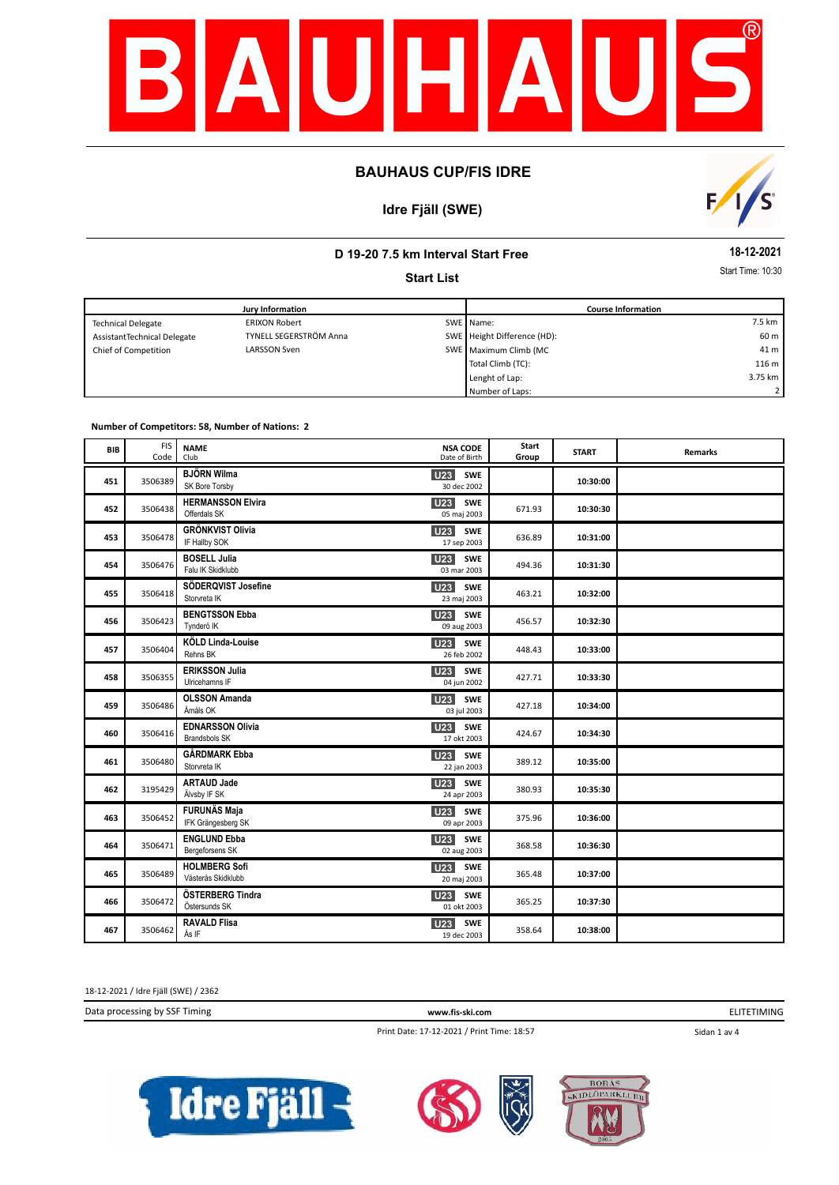

# **Idre Fjäll (SWE)**



### **D 19-20 7.5 km Interval Start Free**

**Start List**

**18-12-2021**

Start Time: 10:30

| Jury Information            |                        |  | <b>Course Information</b>   |                  |  |
|-----------------------------|------------------------|--|-----------------------------|------------------|--|
| <b>Technical Delegate</b>   | <b>ERIXON Robert</b>   |  | SWE Name:                   | 7.5 km           |  |
| AssistantTechnical Delegate | TYNELL SEGERSTRÖM Anna |  | SWE Height Difference (HD): | 60 m             |  |
| Chief of Competition        | LARSSON Sven           |  | SWE Maximum Climb (MC       | 41 m             |  |
|                             |                        |  | Total Climb (TC):           | 116 <sub>m</sub> |  |
|                             |                        |  | Lenght of Lap:              | 3.75 km          |  |
|                             |                        |  | Number of Laps:             | 2 I              |  |

#### **Number of Competitors: 58, Number of Nations: 2**

| <b>BIB</b> | <b>FIS</b><br>Code | <b>NSA CODE</b><br><b>NAME</b><br>Date of Birth<br>Club                      | Start<br>Group       | <b>START</b> | <b>Remarks</b> |
|------------|--------------------|------------------------------------------------------------------------------|----------------------|--------------|----------------|
| 451        | 3506389            | <b>BJÖRN Wilma</b><br>U23<br>SK Bore Torsby<br>30 dec 2002                   | SWE                  | 10:30:00     |                |
| 452        | 3506438            | <b>HERMANSSON Elvira</b><br><b>U23</b><br>Offerdals SK<br>05 maj 2003        | SWE<br>671.93        | 10:30:30     |                |
| 453        | 3506478            | <b>GRÖNKVIST Olivia</b><br><b>U23</b> SWE<br>IF Hallby SOK<br>17 sep 2003    | 636.89               | 10:31:00     |                |
| 454        | 3506476            | <b>BOSELL Julia</b><br><b>U23</b> SWE<br>Falu IK Skidklubb<br>03 mar 2003    | 494.36               | 10:31:30     |                |
| 455        | 3506418            | SÖDERQVIST Josefine<br>U23<br>Storvreta IK<br>23 maj 2003                    | SWE<br>463.21        | 10:32:00     |                |
| 456        | 3506423            | <b>BENGTSSON Ebba</b><br><b>U23</b><br>Tynderö IK<br>09 aug 2003             | <b>SWE</b><br>456.57 | 10:32:30     |                |
| 457        | 3506404            | KÖLD Linda-Louise<br><b>U23 SWE</b><br>Rehns BK<br>26 feb 2002               | 448.43               | 10:33:00     |                |
| 458        | 3506355            | <b>ERIKSSON Julia</b><br><b>U23</b><br>Ulricehamns IF<br>04 jun 2002         | <b>SWE</b><br>427.71 | 10:33:30     |                |
| 459        | 3506486            | <b>OLSSON Amanda</b><br><b>U23</b><br>Åmåls OK<br>03 jul 2003                | <b>SWE</b><br>427.18 | 10:34:00     |                |
| 460        | 3506416            | <b>EDNARSSON Olivia</b><br><b>U23</b><br><b>Brandsbols SK</b><br>17 okt 2003 | SWE<br>424.67        | 10:34:30     |                |
| 461        | 3506480            | <b>GÅRDMARK Ebba</b><br>U23<br>Storvreta IK<br>22 jan 2003                   | <b>SWE</b><br>389.12 | 10:35:00     |                |
| 462        | 3195429            | <b>ARTAUD Jade</b><br><b>U23</b><br>Älvsby IF SK<br>24 apr 2003              | <b>SWE</b><br>380.93 | 10:35:30     |                |
| 463        | 3506452            | <b>FURUNÄS Maja</b><br>U23<br>IFK Grängesberg SK<br>09 apr 2003              | SWE<br>375.96        | 10:36:00     |                |
| 464        | 3506471            | <b>ENGLUND Ebba</b><br><b>U23</b><br>Bergeforsens SK<br>02 aug 2003          | SWE<br>368.58        | 10:36:30     |                |
| 465        | 3506489            | <b>HOLMBERG Sofi</b><br>U23 SWE<br>Västerås Skidklubb<br>20 maj 2003         | 365.48               | 10:37:00     |                |
| 466        | 3506472            | ÖSTERBERG Tindra<br><b>U23</b> SWE<br>Östersunds SK<br>01 okt 2003           | 365.25               | 10:37:30     |                |
| 467        | 3506462            | <b>RAVALD Flisa</b><br><b>U23</b> SWE<br>Ås IF<br>19 dec 2003                | 358.64               | 10:38:00     |                |

18-12-2021 / Idre Fjäll (SWE) / 2362

Data processing by SSF Timing **www.fis-ski.com**

ELITETIMING

Sidan 1 av 4

Print Date: 17-12-2021 / Print Time: 18:57

Idre Fjäll  $\prec$ 



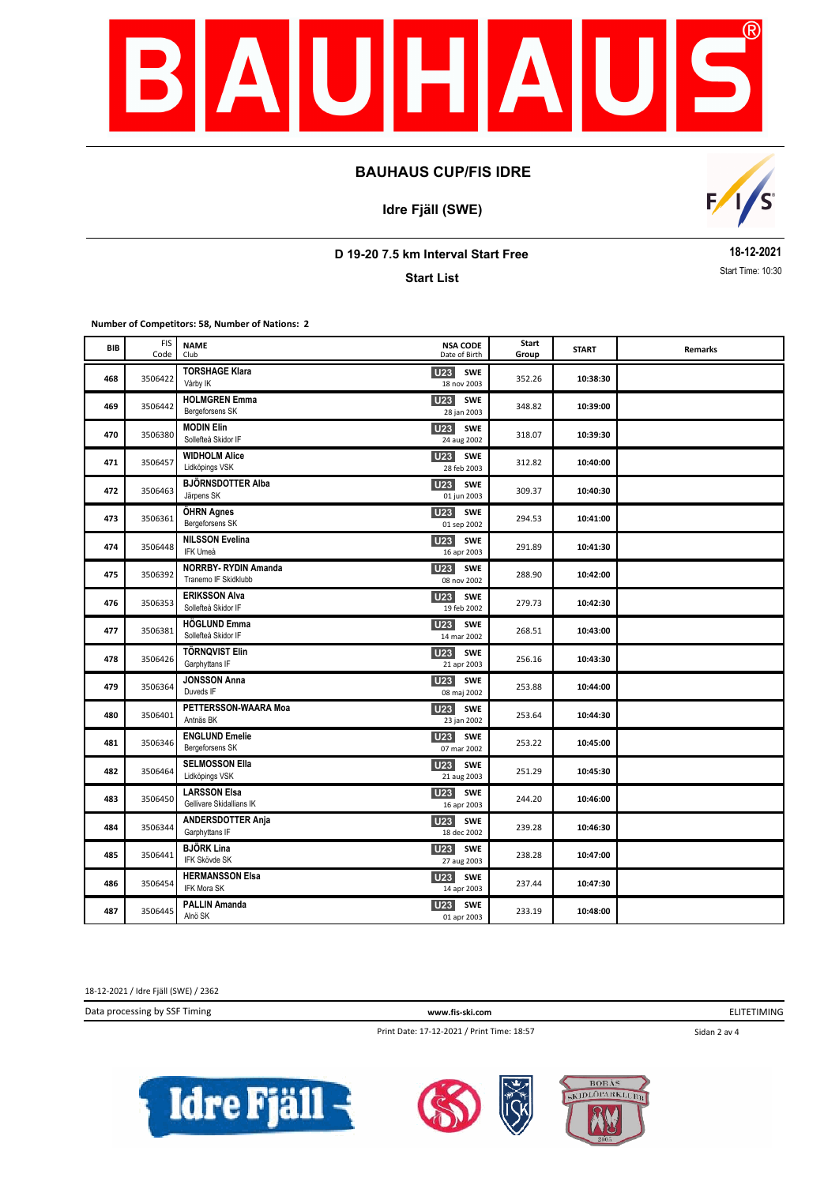

**Idre Fjäll (SWE)**



**D 19-20 7.5 km Interval Start Free**

**Start List**

**18-12-2021** Start Time: 10:30

**Number of Competitors: 58, Number of Nations: 2**

| BIB | <b>FIS</b><br>Code | <b>NAME</b><br>Club                                | <b>NSA CODE</b><br>Date of Birth             | Start<br>Group | <b>START</b> | Remarks |
|-----|--------------------|----------------------------------------------------|----------------------------------------------|----------------|--------------|---------|
| 468 | 3506422            | <b>TORSHAGE Klara</b><br>Vårby IK                  | <b>SWE</b><br>U23<br>18 nov 2003             | 352.26         | 10:38:30     |         |
| 469 | 3506442            | <b>HOLMGREN Emma</b><br>Bergeforsens SK            | <b>U23</b><br><b>SWE</b><br>28 jan 2003      | 348.82         | 10:39:00     |         |
| 470 | 3506380            | <b>MODIN Elin</b><br>Sollefteå Skidor IF           | U23<br>SWE<br>24 aug 2002                    | 318.07         | 10:39:30     |         |
| 471 | 3506457            | <b>WIDHOLM Alice</b><br>Lidköpings VSK             | <b>U23</b><br>SWE<br>28 feb 2003             | 312.82         | 10:40:00     |         |
| 472 | 3506463            | <b>BJÖRNSDOTTER Alba</b><br>Järpens SK             | U23<br>SWE<br>01 jun 2003                    | 309.37         | 10:40:30     |         |
| 473 | 3506361            | ÖHRN Agnes<br>Bergeforsens SK                      | <b>U23</b><br><b>SWE</b><br>01 sep 2002      | 294.53         | 10:41:00     |         |
| 474 | 3506448            | <b>NILSSON Evelina</b><br><b>IFK Umeå</b>          | <b>U23</b><br><b>SWE</b><br>16 apr 2003      | 291.89         | 10:41:30     |         |
| 475 | 3506392            | <b>NORRBY-RYDIN Amanda</b><br>Tranemo IF Skidklubb | <b>U23</b> SWE<br>08 nov 2002                | 288.90         | 10:42:00     |         |
| 476 | 3506353            | <b>ERIKSSON Alva</b><br>Sollefteå Skidor IF        | <b>U23</b><br><b>SWE</b><br>19 feb 2002      | 279.73         | 10:42:30     |         |
| 477 | 3506381            | <b>HÖGLUND Emma</b><br>Sollefteå Skidor IF         | U23 SWE<br>14 mar 2002                       | 268.51         | 10:43:00     |         |
| 478 | 3506426            | <b>TÖRNQVIST Elin</b><br>Garphyttans IF            | U23<br><b>SWE</b><br>21 apr 2003             | 256.16         | 10:43:30     |         |
| 479 | 3506364            | <b>JONSSON Anna</b><br>Duveds IF                   | U <sub>23</sub><br><b>SWE</b><br>08 maj 2002 | 253.88         | 10:44:00     |         |
| 480 | 3506401            | PETTERSSON-WAARA Moa<br>Antnäs BK                  | U23<br>SWE<br>23 jan 2002                    | 253.64         | 10:44:30     |         |
| 481 | 3506346            | <b>ENGLUND Emelie</b><br>Bergeforsens SK           | U <sub>23</sub><br><b>SWE</b><br>07 mar 2002 | 253.22         | 10:45:00     |         |
| 482 | 3506464            | <b>SELMOSSON Ella</b><br>Lidköpings VSK            | U <sub>23</sub><br>SWE<br>21 aug 2003        | 251.29         | 10:45:30     |         |
| 483 | 3506450            | <b>LARSSON Elsa</b><br>Gellivare Skidallians IK    | U <sub>23</sub><br><b>SWE</b><br>16 apr 2003 | 244.20         | 10:46:00     |         |
| 484 | 3506344            | <b>ANDERSDOTTER Anja</b><br>Garphyttans IF         | <b>U23</b> SWE<br>18 dec 2002                | 239.28         | 10:46:30     |         |
| 485 | 3506441            | <b>BJÖRK Lina</b><br>IFK Skövde SK                 | <b>U23</b><br>SWE<br>27 aug 2003             | 238.28         | 10:47:00     |         |
| 486 | 3506454            | <b>HERMANSSON Elsa</b><br><b>IFK Mora SK</b>       | U23 SWE<br>14 apr 2003                       | 237.44         | 10:47:30     |         |
| 487 | 3506445            | <b>PALLIN Amanda</b><br>Alnö SK                    | U23<br>SWE<br>01 apr 2003                    | 233.19         | 10:48:00     |         |

18-12-2021 / Idre Fjäll (SWE) / 2362

Data processing by SSF Timing **www.fis-ski.com**

Print Date: 17-12-2021 / Print Time: 18:57

ELITETIMING

Sidan 2 av 4





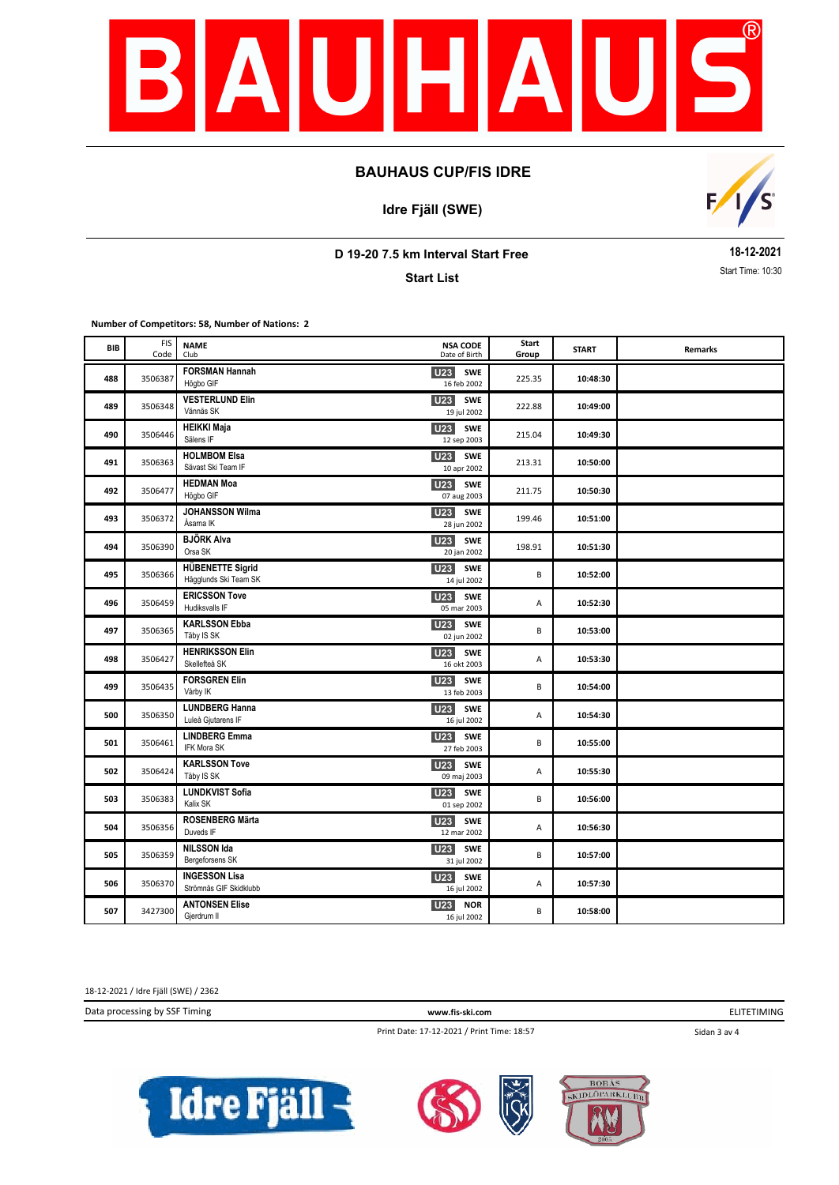

**Idre Fjäll (SWE)**



**D 19-20 7.5 km Interval Start Free**

**Start List**

**18-12-2021** Start Time: 10:30

**Number of Competitors: 58, Number of Nations: 2**

| BIB | <b>FIS</b><br>Code | <b>NAME</b><br>Club                              | <b>NSA CODE</b><br>Date of Birth             | Start<br>Group | <b>START</b> | Remarks |
|-----|--------------------|--------------------------------------------------|----------------------------------------------|----------------|--------------|---------|
| 488 | 3506387            | <b>FORSMAN Hannah</b><br>Högbo GIF               | U23 SWE<br>16 feb 2002                       | 225.35         | 10:48:30     |         |
| 489 | 3506348            | <b>VESTERLUND Elin</b><br>Vännäs SK              | <b>U23</b><br><b>SWE</b><br>19 jul 2002      | 222.88         | 10:49:00     |         |
| 490 | 3506446            | <b>HEIKKI Maja</b><br>Sälens IF                  | <b>U23</b><br><b>SWE</b><br>12 sep 2003      | 215.04         | 10:49:30     |         |
| 491 | 3506363            | <b>HOLMBOM Elsa</b><br>Sävast Ski Team IF        | U <sub>23</sub><br>SWE<br>10 apr 2002        | 213.31         | 10:50:00     |         |
| 492 | 3506477            | <b>HEDMAN Moa</b><br>Högbo GIF                   | <b>U23</b><br><b>SWE</b><br>07 aug 2003      | 211.75         | 10:50:30     |         |
| 493 | 3506372            | <b>JOHANSSON Wilma</b><br>Åsarna IK              | <b>U23</b><br><b>SWE</b><br>28 jun 2002      | 199.46         | 10:51:00     |         |
| 494 | 3506390            | <b>BJÖRK Alva</b><br>Orsa SK                     | <b>U23</b><br><b>SWE</b><br>20 jan 2002      | 198.91         | 10:51:30     |         |
| 495 | 3506366            | <b>HÜBENETTE Sigrid</b><br>Hägglunds Ski Team SK | <b>U23</b><br><b>SWE</b><br>14 jul 2002      | B              | 10:52:00     |         |
| 496 | 3506459            | <b>ERICSSON Tove</b><br>Hudiksvalls IF           | U <sub>23</sub><br><b>SWE</b><br>05 mar 2003 | А              | 10:52:30     |         |
| 497 | 3506365            | <b>KARLSSON Ebba</b><br>Täby IS SK               | U23 SWE<br>02 jun 2002                       | B              | 10:53:00     |         |
| 498 | 3506427            | <b>HENRIKSSON Elin</b><br>Skellefteå SK          | <b>U23</b><br>SWE<br>16 okt 2003             | А              | 10:53:30     |         |
| 499 | 3506435            | <b>FORSGREN Elin</b><br>Vårby IK                 | U <sub>23</sub><br><b>SWE</b><br>13 feb 2003 | В              | 10:54:00     |         |
| 500 | 3506350            | <b>LUNDBERG Hanna</b><br>Luleå Gjutarens IF      | U <sub>23</sub><br><b>SWE</b><br>16 jul 2002 | А              | 10:54:30     |         |
| 501 | 3506461            | <b>LINDBERG Emma</b><br>IFK Mora SK              | U <sub>23</sub><br><b>SWE</b><br>27 feb 2003 | B              | 10:55:00     |         |
| 502 | 3506424            | <b>KARLSSON Tove</b><br>Täby IS SK               | U <sub>23</sub><br>SWE<br>09 maj 2003        | A              | 10:55:30     |         |
| 503 | 3506383            | <b>LUNDKVIST Sofia</b><br>Kalix SK               | U <sub>23</sub><br>SWE<br>01 sep 2002        | B              | 10:56:00     |         |
| 504 | 3506356            | <b>ROSENBERG Märta</b><br>Duveds IF              | <b>U23</b> SWE<br>12 mar 2002                | А              | 10:56:30     |         |
| 505 | 3506359            | <b>NILSSON Ida</b><br>Bergeforsens SK            | U23<br>SWE<br>31 jul 2002                    | B              | 10:57:00     |         |
| 506 | 3506370            | <b>INGESSON Lisa</b><br>Strömnäs GIF Skidklubb   | <b>U23</b> SWE<br>16 jul 2002                | А              | 10:57:30     |         |
| 507 | 3427300            | <b>ANTONSEN Elise</b><br>Gjerdrum II             | U23<br><b>NOR</b><br>16 jul 2002             | B              | 10:58:00     |         |

18-12-2021 / Idre Fjäll (SWE) / 2362

Data processing by SSF Timing **www.fis-ski.com**

ELITETIMING

Print Date: 17-12-2021 / Print Time: 18:57

Sidan 3 av 4